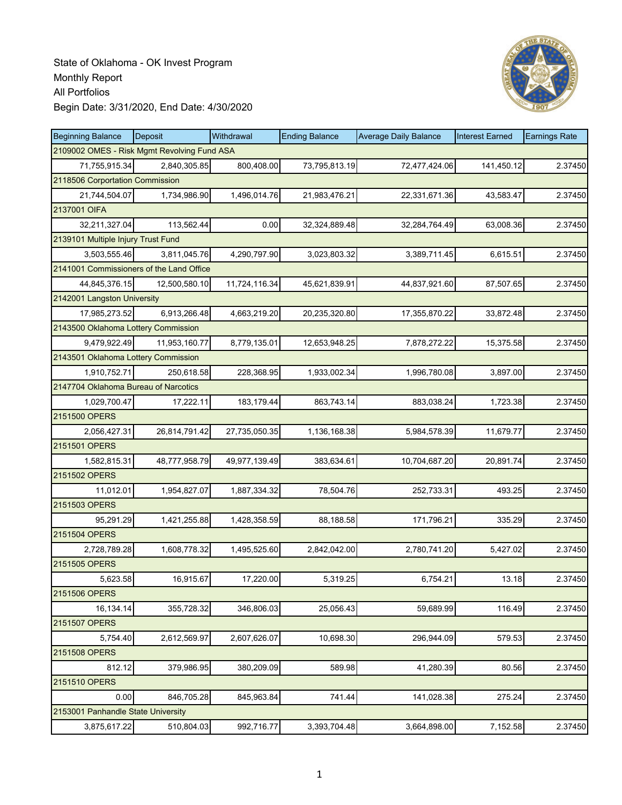

| <b>Beginning Balance</b>                    | Deposit       | Withdrawal    | <b>Ending Balance</b> | <b>Average Daily Balance</b> | <b>Interest Earned</b> | <b>Earnings Rate</b> |
|---------------------------------------------|---------------|---------------|-----------------------|------------------------------|------------------------|----------------------|
| 2109002 OMES - Risk Mgmt Revolving Fund ASA |               |               |                       |                              |                        |                      |
| 71,755,915.34                               | 2,840,305.85  | 800,408.00    | 73,795,813.19         | 72,477,424.06                | 141,450.12             | 2.37450              |
| 2118506 Corportation Commission             |               |               |                       |                              |                        |                      |
| 21,744,504.07                               | 1,734,986.90  | 1,496,014.76  | 21,983,476.21         | 22,331,671.36                | 43,583.47              | 2.37450              |
| 2137001 OIFA                                |               |               |                       |                              |                        |                      |
| 32,211,327.04                               | 113,562.44    | 0.00          | 32,324,889.48         | 32,284,764.49                | 63,008.36              | 2.37450              |
| 2139101 Multiple Injury Trust Fund          |               |               |                       |                              |                        |                      |
| 3,503,555.46                                | 3,811,045.76  | 4,290,797.90  | 3,023,803.32          | 3,389,711.45                 | 6,615.51               | 2.37450              |
| 2141001 Commissioners of the Land Office    |               |               |                       |                              |                        |                      |
| 44,845,376.15                               | 12,500,580.10 | 11,724,116.34 | 45,621,839.91         | 44,837,921.60                | 87,507.65              | 2.37450              |
| 2142001 Langston University                 |               |               |                       |                              |                        |                      |
| 17,985,273.52                               | 6,913,266.48  | 4,663,219.20  | 20,235,320.80         | 17,355,870.22                | 33,872.48              | 2.37450              |
| 2143500 Oklahoma Lottery Commission         |               |               |                       |                              |                        |                      |
| 9,479,922.49                                | 11,953,160.77 | 8,779,135.01  | 12,653,948.25         | 7,878,272.22                 | 15,375.58              | 2.37450              |
| 2143501 Oklahoma Lottery Commission         |               |               |                       |                              |                        |                      |
| 1,910,752.71                                | 250,618.58    | 228,368.95    | 1,933,002.34          | 1,996,780.08                 | 3,897.00               | 2.37450              |
| 2147704 Oklahoma Bureau of Narcotics        |               |               |                       |                              |                        |                      |
| 1,029,700.47                                | 17,222.11     | 183,179.44    | 863,743.14            | 883,038.24                   | 1,723.38               | 2.37450              |
| 2151500 OPERS                               |               |               |                       |                              |                        |                      |
| 2,056,427.31                                | 26,814,791.42 | 27,735,050.35 | 1,136,168.38          | 5,984,578.39                 | 11,679.77              | 2.37450              |
| 2151501 OPERS                               |               |               |                       |                              |                        |                      |
| 1,582,815.31                                | 48,777,958.79 | 49,977,139.49 | 383,634.61            | 10,704,687.20                | 20,891.74              | 2.37450              |
| 2151502 OPERS                               |               |               |                       |                              |                        |                      |
| 11,012.01                                   | 1,954,827.07  | 1,887,334.32  | 78,504.76             | 252,733.31                   | 493.25                 | 2.37450              |
| 2151503 OPERS                               |               |               |                       |                              |                        |                      |
| 95,291.29                                   | 1,421,255.88  | 1,428,358.59  | 88,188.58             | 171,796.21                   | 335.29                 | 2.37450              |
| 2151504 OPERS                               |               |               |                       |                              |                        |                      |
| 2,728,789.28                                | 1,608,778.32  | 1,495,525.60  | 2,842,042.00          | 2,780,741.20                 | 5,427.02               | 2.37450              |
| 2151505 OPERS                               |               |               |                       |                              |                        |                      |
| 5,623.58                                    | 16,915.67     | 17,220.00     | 5,319.25              | 6,754.21                     | 13.18                  | 2.37450              |
| 2151506 OPERS                               |               |               |                       |                              |                        |                      |
| 16,134.14                                   | 355,728.32    | 346,806.03    | 25,056.43             | 59,689.99                    | 116.49                 | 2.37450              |
| 2151507 OPERS                               |               |               |                       |                              |                        |                      |
| 5,754.40                                    | 2,612,569.97  | 2,607,626.07  | 10,698.30             | 296,944.09                   | 579.53                 | 2.37450              |
| 2151508 OPERS                               |               |               |                       |                              |                        |                      |
| 812.12                                      | 379,986.95    | 380,209.09    | 589.98                | 41,280.39                    | 80.56                  | 2.37450              |
| 2151510 OPERS                               |               |               |                       |                              |                        |                      |
| 0.00                                        | 846,705.28    | 845,963.84    | 741.44                | 141,028.38                   | 275.24                 | 2.37450              |
| 2153001 Panhandle State University          |               |               |                       |                              |                        |                      |
| 3,875,617.22                                | 510,804.03    | 992,716.77    | 3,393,704.48          | 3,664,898.00                 | 7,152.58               | 2.37450              |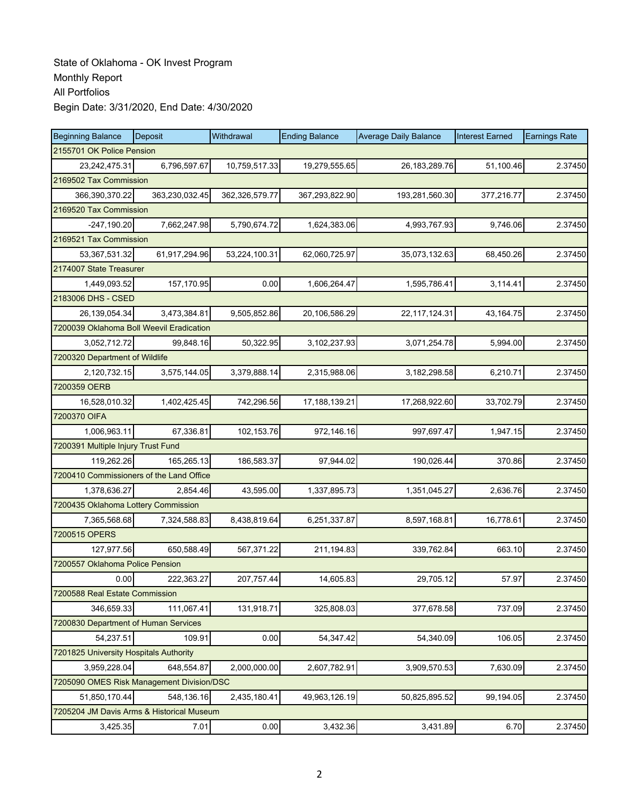| <b>Beginning Balance</b>                  | Deposit        | Withdrawal     | <b>Ending Balance</b> | <b>Average Daily Balance</b> | <b>Interest Earned</b> | <b>Earnings Rate</b> |
|-------------------------------------------|----------------|----------------|-----------------------|------------------------------|------------------------|----------------------|
| 2155701 OK Police Pension                 |                |                |                       |                              |                        |                      |
| 23,242,475.31                             | 6,796,597.67   | 10,759,517.33  | 19,279,555.65         | 26, 183, 289. 76             | 51,100.46              | 2.37450              |
| 2169502 Tax Commission                    |                |                |                       |                              |                        |                      |
| 366,390,370.22                            | 363,230,032.45 | 362,326,579.77 | 367,293,822.90        | 193,281,560.30               | 377,216.77             | 2.37450              |
| 2169520 Tax Commission                    |                |                |                       |                              |                        |                      |
| $-247,190.20$                             | 7,662,247.98   | 5,790,674.72   | 1,624,383.06          | 4,993,767.93                 | 9,746.06               | 2.37450              |
| 2169521 Tax Commission                    |                |                |                       |                              |                        |                      |
| 53,367,531.32                             | 61,917,294.96  | 53,224,100.31  | 62,060,725.97         | 35,073,132.63                | 68,450.26              | 2.37450              |
| 2174007 State Treasurer                   |                |                |                       |                              |                        |                      |
| 1,449,093.52                              | 157,170.95     | 0.00           | 1,606,264.47          | 1,595,786.41                 | 3,114.41               | 2.37450              |
| 2183006 DHS - CSED                        |                |                |                       |                              |                        |                      |
| 26,139,054.34                             | 3,473,384.81   | 9,505,852.86   | 20,106,586.29         | 22,117,124.31                | 43,164.75              | 2.37450              |
| 7200039 Oklahoma Boll Weevil Eradication  |                |                |                       |                              |                        |                      |
| 3,052,712.72                              | 99,848.16      | 50,322.95      | 3,102,237.93          | 3,071,254.78                 | 5,994.00               | 2.37450              |
| 7200320 Department of Wildlife            |                |                |                       |                              |                        |                      |
| 2,120,732.15                              | 3,575,144.05   | 3,379,888.14   | 2,315,988.06          | 3, 182, 298.58               | 6,210.71               | 2.37450              |
| 7200359 OERB                              |                |                |                       |                              |                        |                      |
| 16,528,010.32                             | 1,402,425.45   | 742,296.56     | 17,188,139.21         | 17,268,922.60                | 33,702.79              | 2.37450              |
| 7200370 OIFA                              |                |                |                       |                              |                        |                      |
| 1,006,963.11                              | 67,336.81      | 102,153.76     | 972,146.16            | 997,697.47                   | 1,947.15               | 2.37450              |
| 7200391 Multiple Injury Trust Fund        |                |                |                       |                              |                        |                      |
| 119,262.26                                | 165,265.13     | 186,583.37     | 97,944.02             | 190,026.44                   | 370.86                 | 2.37450              |
| 7200410 Commissioners of the Land Office  |                |                |                       |                              |                        |                      |
| 1,378,636.27                              | 2,854.46       | 43,595.00      | 1,337,895.73          | 1,351,045.27                 | 2,636.76               | 2.37450              |
| 7200435 Oklahoma Lottery Commission       |                |                |                       |                              |                        |                      |
| 7,365,568.68                              | 7,324,588.83   | 8,438,819.64   | 6,251,337.87          | 8,597,168.81                 | 16,778.61              | 2.37450              |
| 7200515 OPERS                             |                |                |                       |                              |                        |                      |
| 127,977.56                                | 650.588.49     | 567,371.22     | 211,194.83            | 339,762.84                   | 663.10                 | 2.37450              |
| 7200557 Oklahoma Police Pension           |                |                |                       |                              |                        |                      |
| 0.00                                      | 222,363.27     | 207,757.44     | 14,605.83             | 29,705.12                    | 57.97                  | 2.37450              |
| 7200588 Real Estate Commission            |                |                |                       |                              |                        |                      |
| 346,659.33                                | 111,067.41     | 131,918.71     | 325,808.03            | 377,678.58                   | 737.09                 | 2.37450              |
| 7200830 Department of Human Services      |                |                |                       |                              |                        |                      |
| 54,237.51                                 | 109.91         | 0.00           | 54,347.42             | 54,340.09                    | 106.05                 | 2.37450              |
| 7201825 University Hospitals Authority    |                |                |                       |                              |                        |                      |
| 3,959,228.04                              | 648,554.87     | 2,000,000.00   | 2,607,782.91          | 3,909,570.53                 | 7,630.09               | 2.37450              |
| 7205090 OMES Risk Management Division/DSC |                |                |                       |                              |                        |                      |
| 51,850,170.44                             | 548,136.16     | 2,435,180.41   | 49,963,126.19         | 50,825,895.52                | 99,194.05              | 2.37450              |
| 7205204 JM Davis Arms & Historical Museum |                |                |                       |                              |                        |                      |
| 3,425.35                                  | 7.01           | 0.00           | 3,432.36              | 3,431.89                     | 6.70                   | 2.37450              |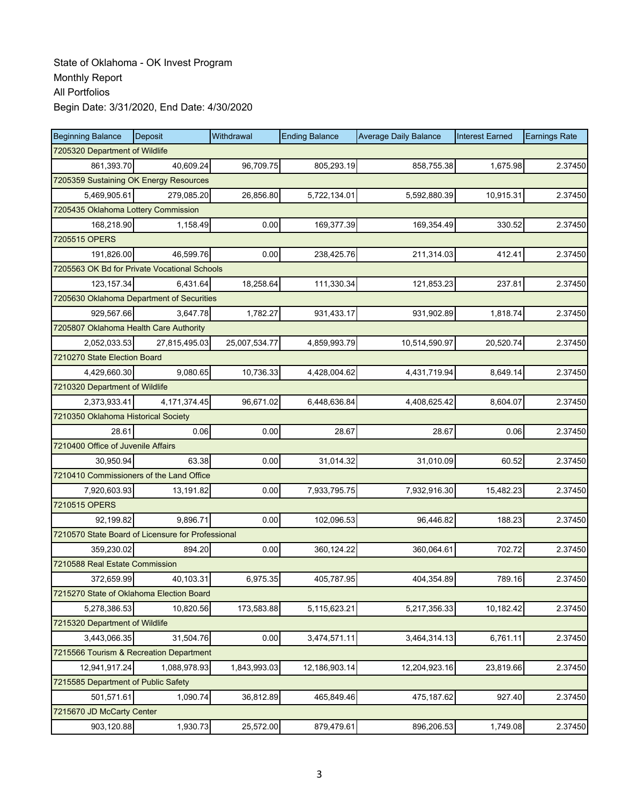| <b>Beginning Balance</b>                          | Deposit       | Withdrawal    | <b>Ending Balance</b> | <b>Average Daily Balance</b> | <b>Interest Earned</b> | <b>Earnings Rate</b> |
|---------------------------------------------------|---------------|---------------|-----------------------|------------------------------|------------------------|----------------------|
| 7205320 Department of Wildlife                    |               |               |                       |                              |                        |                      |
| 861,393.70                                        | 40,609.24     | 96,709.75     | 805,293.19            | 858,755.38                   | 1,675.98               | 2.37450              |
| 7205359 Sustaining OK Energy Resources            |               |               |                       |                              |                        |                      |
| 5,469,905.61                                      | 279,085.20    | 26,856.80     | 5,722,134.01          | 5,592,880.39                 | 10,915.31              | 2.37450              |
| 7205435 Oklahoma Lottery Commission               |               |               |                       |                              |                        |                      |
| 168,218.90                                        | 1,158.49      | 0.00          | 169,377.39            | 169,354.49                   | 330.52                 | 2.37450              |
| 7205515 OPERS                                     |               |               |                       |                              |                        |                      |
| 191,826.00                                        | 46.599.76     | 0.00          | 238,425.76            | 211,314.03                   | 412.41                 | 2.37450              |
| 7205563 OK Bd for Private Vocational Schools      |               |               |                       |                              |                        |                      |
| 123, 157.34                                       | 6,431.64      | 18,258.64     | 111,330.34            | 121,853.23                   | 237.81                 | 2.37450              |
| 7205630 Oklahoma Department of Securities         |               |               |                       |                              |                        |                      |
| 929,567.66                                        | 3,647.78      | 1,782.27      | 931,433.17            | 931,902.89                   | 1,818.74               | 2.37450              |
| 7205807 Oklahoma Health Care Authority            |               |               |                       |                              |                        |                      |
| 2,052,033.53                                      | 27,815,495.03 | 25,007,534.77 | 4,859,993.79          | 10,514,590.97                | 20,520.74              | 2.37450              |
| 7210270 State Election Board                      |               |               |                       |                              |                        |                      |
| 4,429,660.30                                      | 9,080.65      | 10,736.33     | 4,428,004.62          | 4,431,719.94                 | 8,649.14               | 2.37450              |
| 7210320 Department of Wildlife                    |               |               |                       |                              |                        |                      |
| 2,373,933.41                                      | 4.171.374.45  | 96,671.02     | 6,448,636.84          | 4,408,625.42                 | 8.604.07               | 2.37450              |
| 7210350 Oklahoma Historical Society               |               |               |                       |                              |                        |                      |
| 28.61                                             | 0.06          | 0.00          | 28.67                 | 28.67                        | 0.06                   | 2.37450              |
| 7210400 Office of Juvenile Affairs                |               |               |                       |                              |                        |                      |
| 30,950.94                                         | 63.38         | 0.00          | 31,014.32             | 31,010.09                    | 60.52                  | 2.37450              |
| 7210410 Commissioners of the Land Office          |               |               |                       |                              |                        |                      |
| 7,920,603.93                                      | 13,191.82     | 0.00          | 7,933,795.75          | 7,932,916.30                 | 15,482.23              | 2.37450              |
| 7210515 OPERS                                     |               |               |                       |                              |                        |                      |
| 92,199.82                                         | 9,896.71      | 0.00          | 102,096.53            | 96,446.82                    | 188.23                 | 2.37450              |
| 7210570 State Board of Licensure for Professional |               |               |                       |                              |                        |                      |
| 359,230.02                                        | 894.20        | 0.00          | 360, 124.22           | 360,064.61                   | 702.72                 | 2.37450              |
| 7210588 Real Estate Commission                    |               |               |                       |                              |                        |                      |
| 372,659.99                                        | 40,103.31     | 6,975.35      | 405,787.95            | 404,354.89                   | 789.16                 | 2.37450              |
| 7215270 State of Oklahoma Election Board          |               |               |                       |                              |                        |                      |
| 5,278,386.53                                      | 10,820.56     | 173,583.88    | 5,115,623.21          | 5,217,356.33                 | 10,182.42              | 2.37450              |
| 7215320 Department of Wildlife                    |               |               |                       |                              |                        |                      |
| 3,443,066.35                                      | 31,504.76     | 0.00          | 3,474,571.11          | 3,464,314.13                 | 6,761.11               | 2.37450              |
| 7215566 Tourism & Recreation Department           |               |               |                       |                              |                        |                      |
| 12,941,917.24                                     | 1,088,978.93  | 1,843,993.03  | 12,186,903.14         | 12,204,923.16                | 23,819.66              | 2.37450              |
| 7215585 Department of Public Safety               |               |               |                       |                              |                        |                      |
| 501,571.61                                        | 1,090.74      | 36,812.89     | 465,849.46            | 475,187.62                   | 927.40                 | 2.37450              |
| 7215670 JD McCarty Center                         |               |               |                       |                              |                        |                      |
| 903,120.88                                        | 1,930.73      | 25,572.00     | 879,479.61            | 896,206.53                   | 1,749.08               | 2.37450              |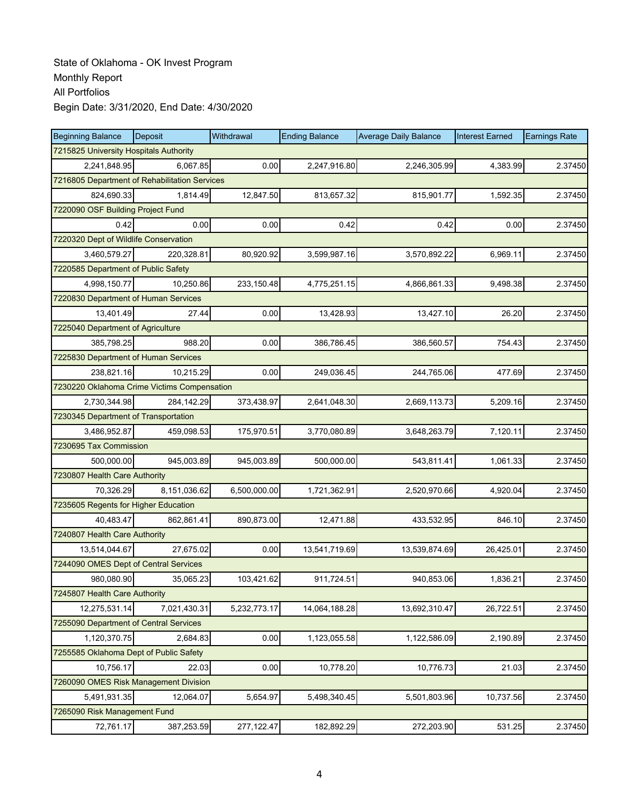| <b>Beginning Balance</b>                      | Deposit      | Withdrawal   | <b>Ending Balance</b> | <b>Average Daily Balance</b> | <b>Interest Earned</b> | <b>Earnings Rate</b> |
|-----------------------------------------------|--------------|--------------|-----------------------|------------------------------|------------------------|----------------------|
| 7215825 University Hospitals Authority        |              |              |                       |                              |                        |                      |
| 2,241,848.95                                  | 6,067.85     | 0.00         | 2,247,916.80          | 2,246,305.99                 | 4,383.99               | 2.37450              |
| 7216805 Department of Rehabilitation Services |              |              |                       |                              |                        |                      |
| 824,690.33                                    | 1.814.49     | 12,847.50    | 813,657.32            | 815,901.77                   | 1,592.35               | 2.37450              |
| 7220090 OSF Building Project Fund             |              |              |                       |                              |                        |                      |
| 0.42                                          | 0.00         | 0.00         | 0.42                  | 0.42                         | 0.00                   | 2.37450              |
| 7220320 Dept of Wildlife Conservation         |              |              |                       |                              |                        |                      |
| 3,460,579.27                                  | 220,328.81   | 80,920.92    | 3,599,987.16          | 3,570,892.22                 | 6,969.11               | 2.37450              |
| 7220585 Department of Public Safety           |              |              |                       |                              |                        |                      |
| 4,998,150.77                                  | 10,250.86    | 233,150.48   | 4,775,251.15          | 4,866,861.33                 | 9,498.38               | 2.37450              |
| 7220830 Department of Human Services          |              |              |                       |                              |                        |                      |
| 13,401.49                                     | 27.44        | 0.00         | 13,428.93             | 13,427.10                    | 26.20                  | 2.37450              |
| 7225040 Department of Agriculture             |              |              |                       |                              |                        |                      |
| 385,798.25                                    | 988.20       | 0.00         | 386,786.45            | 386,560.57                   | 754.43                 | 2.37450              |
| 7225830 Department of Human Services          |              |              |                       |                              |                        |                      |
| 238,821.16                                    | 10,215.29    | 0.00         | 249,036.45            | 244,765.06                   | 477.69                 | 2.37450              |
| 7230220 Oklahoma Crime Victims Compensation   |              |              |                       |                              |                        |                      |
| 2,730,344.98                                  | 284,142.29   | 373,438.97   | 2,641,048.30          | 2,669,113.73                 | 5,209.16               | 2.37450              |
| 7230345 Department of Transportation          |              |              |                       |                              |                        |                      |
| 3,486,952.87                                  | 459,098.53   | 175,970.51   | 3,770,080.89          | 3,648,263.79                 | 7,120.11               | 2.37450              |
| 7230695 Tax Commission                        |              |              |                       |                              |                        |                      |
| 500,000.00                                    | 945,003.89   | 945,003.89   | 500,000.00            | 543,811.41                   | 1,061.33               | 2.37450              |
| 7230807 Health Care Authority                 |              |              |                       |                              |                        |                      |
| 70,326.29                                     | 8,151,036.62 | 6,500,000.00 | 1,721,362.91          | 2,520,970.66                 | 4,920.04               | 2.37450              |
| 7235605 Regents for Higher Education          |              |              |                       |                              |                        |                      |
| 40,483.47                                     | 862,861.41   | 890,873.00   | 12,471.88             | 433,532.95                   | 846.10                 | 2.37450              |
| 7240807 Health Care Authority                 |              |              |                       |                              |                        |                      |
| 13,514,044.67                                 | 27,675.02    | 0.00         | 13,541,719.69         | 13,539,874.69                | 26,425.01              | 2.37450              |
| 7244090 OMES Dept of Central Services         |              |              |                       |                              |                        |                      |
| 980,080.90                                    | 35,065.23    | 103,421.62   | 911,724.51            | 940,853.06                   | 1,836.21               | 2.37450              |
| 7245807 Health Care Authority                 |              |              |                       |                              |                        |                      |
| 12,275,531.14                                 | 7,021,430.31 | 5,232,773.17 | 14,064,188.28         | 13,692,310.47                | 26,722.51              | 2.37450              |
| 7255090 Department of Central Services        |              |              |                       |                              |                        |                      |
| 1,120,370.75                                  | 2,684.83     | 0.00         | 1,123,055.58          | 1,122,586.09                 | 2,190.89               | 2.37450              |
| 7255585 Oklahoma Dept of Public Safety        |              |              |                       |                              |                        |                      |
| 10,756.17                                     | 22.03        | 0.00         | 10,778.20             | 10,776.73                    | 21.03                  | 2.37450              |
| 7260090 OMES Risk Management Division         |              |              |                       |                              |                        |                      |
| 5,491,931.35                                  | 12,064.07    | 5,654.97     | 5,498,340.45          | 5,501,803.96                 | 10,737.56              | 2.37450              |
| 7265090 Risk Management Fund                  |              |              |                       |                              |                        |                      |
| 72,761.17                                     | 387,253.59   | 277,122.47   | 182,892.29            | 272,203.90                   | 531.25                 | 2.37450              |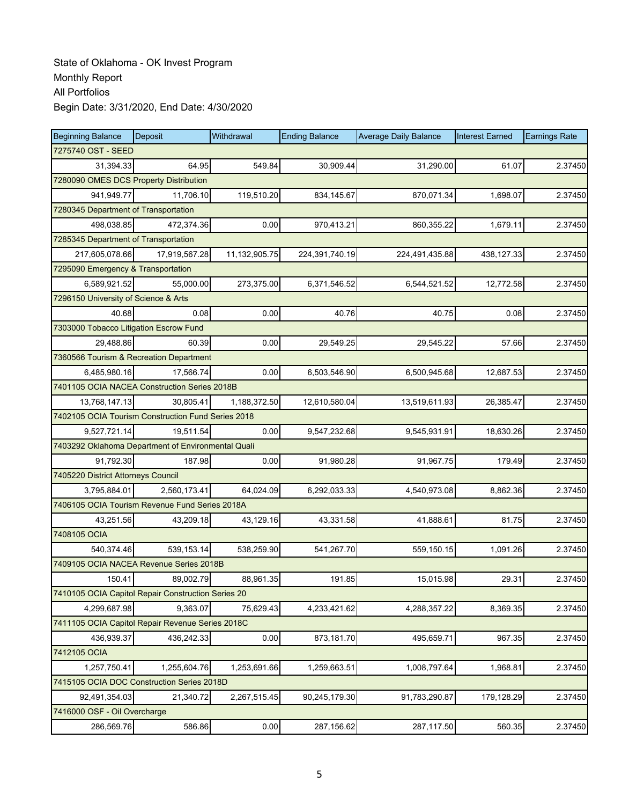| <b>Beginning Balance</b>                           | Deposit       | Withdrawal    | <b>Ending Balance</b> | <b>Average Daily Balance</b> | <b>Interest Earned</b> | <b>Earnings Rate</b> |
|----------------------------------------------------|---------------|---------------|-----------------------|------------------------------|------------------------|----------------------|
| 7275740 OST - SEED                                 |               |               |                       |                              |                        |                      |
| 31,394.33                                          | 64.95         | 549.84        | 30,909.44             | 31.290.00                    | 61.07                  | 2.37450              |
| 7280090 OMES DCS Property Distribution             |               |               |                       |                              |                        |                      |
| 941,949.77                                         | 11,706.10     | 119,510.20    | 834,145.67            | 870,071.34                   | 1,698.07               | 2.37450              |
| 7280345 Department of Transportation               |               |               |                       |                              |                        |                      |
| 498,038.85                                         | 472,374.36    | 0.00          | 970,413.21            | 860,355.22                   | 1,679.11               | 2.37450              |
| 7285345 Department of Transportation               |               |               |                       |                              |                        |                      |
| 217,605,078.66                                     | 17,919,567.28 | 11,132,905.75 | 224,391,740.19        | 224,491,435.88               | 438,127.33             | 2.37450              |
| 7295090 Emergency & Transportation                 |               |               |                       |                              |                        |                      |
| 6,589,921.52                                       | 55,000.00     | 273,375.00    | 6,371,546.52          | 6,544,521.52                 | 12,772.58              | 2.37450              |
| 7296150 University of Science & Arts               |               |               |                       |                              |                        |                      |
| 40.68                                              | 0.08          | 0.00          | 40.76                 | 40.75                        | 0.08                   | 2.37450              |
| 7303000 Tobacco Litigation Escrow Fund             |               |               |                       |                              |                        |                      |
| 29,488.86                                          | 60.39         | 0.00          | 29,549.25             | 29,545.22                    | 57.66                  | 2.37450              |
| 7360566 Tourism & Recreation Department            |               |               |                       |                              |                        |                      |
| 6,485,980.16                                       | 17.566.74     | 0.00          | 6,503,546.90          | 6,500,945.68                 | 12,687.53              | 2.37450              |
| 7401105 OCIA NACEA Construction Series 2018B       |               |               |                       |                              |                        |                      |
| 13,768,147.13                                      | 30,805.41     | 1,188,372.50  | 12,610,580.04         | 13,519,611.93                | 26,385.47              | 2.37450              |
| 7402105 OCIA Tourism Construction Fund Series 2018 |               |               |                       |                              |                        |                      |
| 9,527,721.14                                       | 19,511.54     | 0.00          | 9,547,232.68          | 9,545,931.91                 | 18,630.26              | 2.37450              |
| 7403292 Oklahoma Department of Environmental Quali |               |               |                       |                              |                        |                      |
| 91,792.30                                          | 187.98        | 0.00          | 91,980.28             | 91,967.75                    | 179.49                 | 2.37450              |
| 7405220 District Attorneys Council                 |               |               |                       |                              |                        |                      |
| 3,795,884.01                                       | 2,560,173.41  | 64,024.09     | 6,292,033.33          | 4,540,973.08                 | 8,862.36               | 2.37450              |
| 7406105 OCIA Tourism Revenue Fund Series 2018A     |               |               |                       |                              |                        |                      |
| 43,251.56                                          | 43,209.18     | 43,129.16     | 43,331.58             | 41,888.61                    | 81.75                  | 2.37450              |
| 7408105 OCIA                                       |               |               |                       |                              |                        |                      |
| 540,374.46                                         | 539,153.14    | 538,259.90    | 541,267.70            | 559,150.15                   | 1,091.26               | 2.37450              |
| 7409105 OCIA NACEA Revenue Series 2018B            |               |               |                       |                              |                        |                      |
| 150.41                                             | 89,002.79     | 88,961.35     | 191.85                | 15,015.98                    | 29.31                  | 2.37450              |
| 7410105 OCIA Capitol Repair Construction Series 20 |               |               |                       |                              |                        |                      |
| 4,299,687.98                                       | 9,363.07      | 75,629.43     | 4,233,421.62          | 4,288,357.22                 | 8,369.35               | 2.37450              |
| 7411105 OCIA Capitol Repair Revenue Series 2018C   |               |               |                       |                              |                        |                      |
| 436,939.37                                         | 436,242.33    | 0.00          | 873,181.70            | 495,659.71                   | 967.35                 | 2.37450              |
| 7412105 OCIA                                       |               |               |                       |                              |                        |                      |
| 1,257,750.41                                       | 1,255,604.76  | 1,253,691.66  | 1,259,663.51          | 1,008,797.64                 | 1,968.81               | 2.37450              |
| 7415105 OCIA DOC Construction Series 2018D         |               |               |                       |                              |                        |                      |
| 92,491,354.03                                      | 21,340.72     | 2,267,515.45  | 90,245,179.30         | 91,783,290.87                | 179,128.29             | 2.37450              |
| 7416000 OSF - Oil Overcharge                       |               |               |                       |                              |                        |                      |
| 286,569.76                                         | 586.86        | 0.00          | 287,156.62            | 287,117.50                   | 560.35                 | 2.37450              |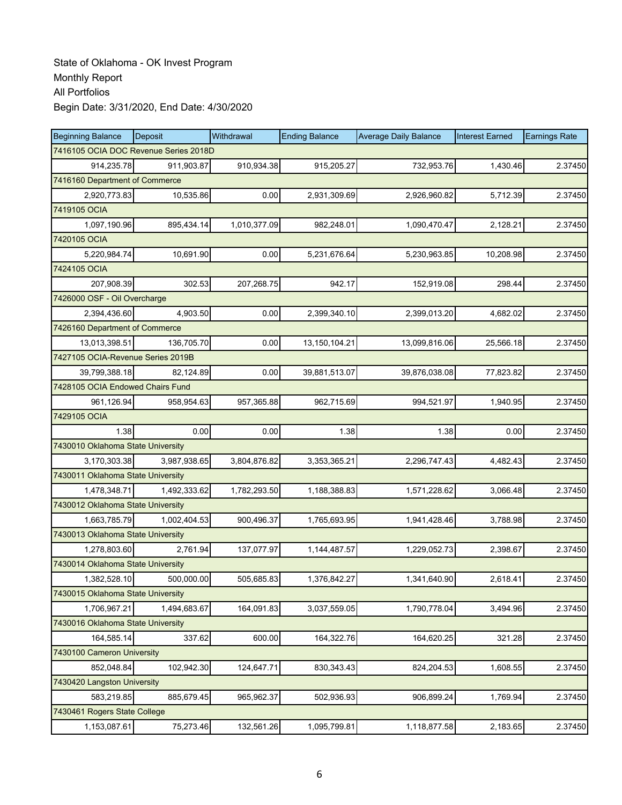| <b>Beginning Balance</b>          | Deposit                               | Withdrawal   | <b>Ending Balance</b> | <b>Average Daily Balance</b> | <b>Interest Earned</b> | <b>Earnings Rate</b> |
|-----------------------------------|---------------------------------------|--------------|-----------------------|------------------------------|------------------------|----------------------|
|                                   | 7416105 OCIA DOC Revenue Series 2018D |              |                       |                              |                        |                      |
| 914,235.78                        | 911,903.87                            | 910,934.38   | 915,205.27            | 732,953.76                   | 1,430.46               | 2.37450              |
| 7416160 Department of Commerce    |                                       |              |                       |                              |                        |                      |
| 2,920,773.83                      | 10,535.86                             | 0.00         | 2,931,309.69          | 2,926,960.82                 | 5,712.39               | 2.37450              |
| 7419105 OCIA                      |                                       |              |                       |                              |                        |                      |
| 1,097,190.96                      | 895,434.14                            | 1,010,377.09 | 982,248.01            | 1,090,470.47                 | 2,128.21               | 2.37450              |
| 7420105 OCIA                      |                                       |              |                       |                              |                        |                      |
| 5,220,984.74                      | 10,691.90                             | 0.00         | 5,231,676.64          | 5,230,963.85                 | 10,208.98              | 2.37450              |
| 7424105 OCIA                      |                                       |              |                       |                              |                        |                      |
| 207,908.39                        | 302.53                                | 207,268.75   | 942.17                | 152,919.08                   | 298.44                 | 2.37450              |
| 7426000 OSF - Oil Overcharge      |                                       |              |                       |                              |                        |                      |
| 2,394,436.60                      | 4,903.50                              | 0.00         | 2,399,340.10          | 2,399,013.20                 | 4,682.02               | 2.37450              |
| 7426160 Department of Commerce    |                                       |              |                       |                              |                        |                      |
| 13,013,398.51                     | 136,705.70                            | 0.00         | 13,150,104.21         | 13,099,816.06                | 25,566.18              | 2.37450              |
| 7427105 OCIA-Revenue Series 2019B |                                       |              |                       |                              |                        |                      |
| 39,799,388.18                     | 82,124.89                             | 0.00         | 39,881,513.07         | 39,876,038.08                | 77,823.82              | 2.37450              |
| 7428105 OCIA Endowed Chairs Fund  |                                       |              |                       |                              |                        |                      |
| 961,126.94                        | 958,954.63                            | 957,365.88   | 962,715.69            | 994,521.97                   | 1,940.95               | 2.37450              |
| 7429105 OCIA                      |                                       |              |                       |                              |                        |                      |
| 1.38                              | 0.00                                  | 0.00         | 1.38                  | 1.38                         | 0.00                   | 2.37450              |
| 7430010 Oklahoma State University |                                       |              |                       |                              |                        |                      |
| 3,170,303.38                      | 3,987,938.65                          | 3,804,876.82 | 3,353,365.21          | 2,296,747.43                 | 4,482.43               | 2.37450              |
| 7430011 Oklahoma State University |                                       |              |                       |                              |                        |                      |
| 1,478,348.71                      | 1,492,333.62                          | 1,782,293.50 | 1,188,388.83          | 1,571,228.62                 | 3,066.48               | 2.37450              |
| 7430012 Oklahoma State University |                                       |              |                       |                              |                        |                      |
| 1,663,785.79                      | 1,002,404.53                          | 900,496.37   | 1,765,693.95          | 1,941,428.46                 | 3,788.98               | 2.37450              |
| 7430013 Oklahoma State University |                                       |              |                       |                              |                        |                      |
| 1,278,803.60                      | 2,761.94                              | 137,077.97   | 1,144,487.57          | 1,229,052.73                 | 2,398.67               | 2.37450              |
| 7430014 Oklahoma State University |                                       |              |                       |                              |                        |                      |
| 1,382,528.10                      | 500,000.00                            | 505,685.83   | 1.376.842.27          | 1,341,640.90                 | 2,618.41               | 2.37450              |
| 7430015 Oklahoma State University |                                       |              |                       |                              |                        |                      |
| 1,706,967.21                      | 1,494,683.67                          | 164,091.83   | 3,037,559.05          | 1,790,778.04                 | 3,494.96               | 2.37450              |
| 7430016 Oklahoma State University |                                       |              |                       |                              |                        |                      |
| 164,585.14                        | 337.62                                | 600.00       | 164,322.76            | 164,620.25                   | 321.28                 | 2.37450              |
| 7430100 Cameron University        |                                       |              |                       |                              |                        |                      |
| 852,048.84                        | 102,942.30                            | 124,647.71   | 830, 343. 43          | 824,204.53                   | 1,608.55               | 2.37450              |
| 7430420 Langston University       |                                       |              |                       |                              |                        |                      |
| 583,219.85                        | 885,679.45                            | 965,962.37   | 502,936.93            | 906,899.24                   | 1,769.94               | 2.37450              |
| 7430461 Rogers State College      |                                       |              |                       |                              |                        |                      |
| 1,153,087.61                      | 75,273.46                             | 132,561.26   | 1,095,799.81          | 1,118,877.58                 | 2,183.65               | 2.37450              |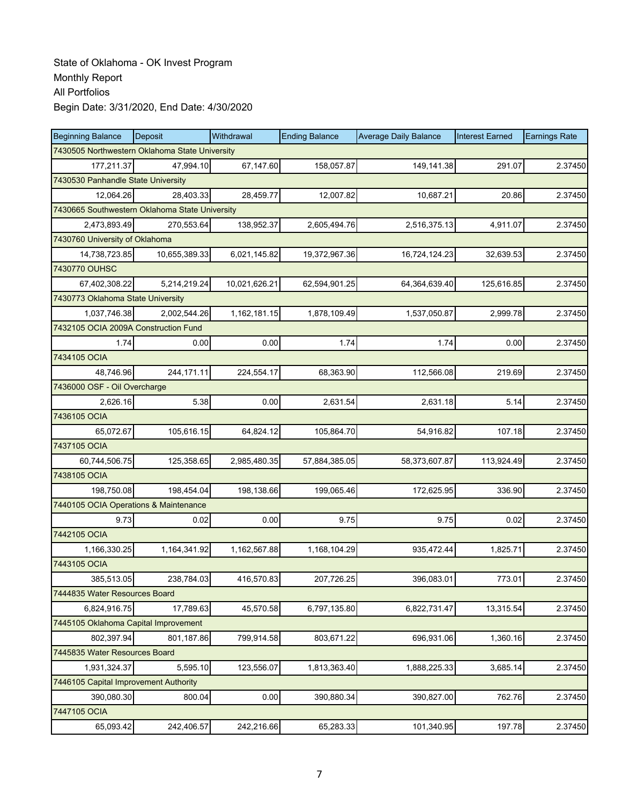| <b>Beginning Balance</b>                       | Deposit                                        | Withdrawal    | <b>Ending Balance</b> | <b>Average Daily Balance</b> | <b>Interest Earned</b> | <b>Earnings Rate</b> |  |  |  |
|------------------------------------------------|------------------------------------------------|---------------|-----------------------|------------------------------|------------------------|----------------------|--|--|--|
|                                                | 7430505 Northwestern Oklahoma State University |               |                       |                              |                        |                      |  |  |  |
| 177,211.37                                     | 47,994.10                                      | 67,147.60     | 158,057.87            | 149,141.38                   | 291.07                 | 2.37450              |  |  |  |
| 7430530 Panhandle State University             |                                                |               |                       |                              |                        |                      |  |  |  |
| 12,064.26                                      | 28,403.33                                      | 28,459.77     | 12,007.82             | 10,687.21                    | 20.86                  | 2.37450              |  |  |  |
| 7430665 Southwestern Oklahoma State University |                                                |               |                       |                              |                        |                      |  |  |  |
| 2,473,893.49                                   | 270,553.64                                     | 138,952.37    | 2,605,494.76          | 2,516,375.13                 | 4,911.07               | 2.37450              |  |  |  |
| 7430760 University of Oklahoma                 |                                                |               |                       |                              |                        |                      |  |  |  |
| 14,738,723.85                                  | 10,655,389.33                                  | 6,021,145.82  | 19,372,967.36         | 16,724,124.23                | 32,639.53              | 2.37450              |  |  |  |
| 7430770 OUHSC                                  |                                                |               |                       |                              |                        |                      |  |  |  |
| 67,402,308.22                                  | 5,214,219.24                                   | 10,021,626.21 | 62,594,901.25         | 64,364,639.40                | 125,616.85             | 2.37450              |  |  |  |
| 7430773 Oklahoma State University              |                                                |               |                       |                              |                        |                      |  |  |  |
| 1,037,746.38                                   | 2,002,544.26                                   | 1,162,181.15  | 1,878,109.49          | 1,537,050.87                 | 2,999.78               | 2.37450              |  |  |  |
| 7432105 OCIA 2009A Construction Fund           |                                                |               |                       |                              |                        |                      |  |  |  |
| 1.74                                           | 0.00                                           | 0.00          | 1.74                  | 1.74                         | 0.00                   | 2.37450              |  |  |  |
| 7434105 OCIA                                   |                                                |               |                       |                              |                        |                      |  |  |  |
| 48,746.96                                      | 244,171.11                                     | 224,554.17    | 68,363.90             | 112,566.08                   | 219.69                 | 2.37450              |  |  |  |
| 7436000 OSF - Oil Overcharge                   |                                                |               |                       |                              |                        |                      |  |  |  |
| 2,626.16                                       | 5.38                                           | 0.00          | 2,631.54              | 2,631.18                     | 5.14                   | 2.37450              |  |  |  |
| 7436105 OCIA                                   |                                                |               |                       |                              |                        |                      |  |  |  |
| 65,072.67                                      | 105,616.15                                     | 64,824.12     | 105,864.70            | 54,916.82                    | 107.18                 | 2.37450              |  |  |  |
| 7437105 OCIA                                   |                                                |               |                       |                              |                        |                      |  |  |  |
| 60,744,506.75                                  | 125,358.65                                     | 2,985,480.35  | 57,884,385.05         | 58,373,607.87                | 113,924.49             | 2.37450              |  |  |  |
| 7438105 OCIA                                   |                                                |               |                       |                              |                        |                      |  |  |  |
| 198,750.08                                     | 198,454.04                                     | 198,138.66    | 199,065.46            | 172,625.95                   | 336.90                 | 2.37450              |  |  |  |
| 7440105 OCIA Operations & Maintenance          |                                                |               |                       |                              |                        |                      |  |  |  |
| 9.73                                           | 0.02                                           | 0.00          | 9.75                  | 9.75                         | 0.02                   | 2.37450              |  |  |  |
| 7442105 OCIA                                   |                                                |               |                       |                              |                        |                      |  |  |  |
| 1,166,330.25                                   | 1,164,341.92                                   | 1,162,567.88  | 1,168,104.29          | 935,472.44                   | 1,825.71               | 2.37450              |  |  |  |
| 7443105 OCIA                                   |                                                |               |                       |                              |                        |                      |  |  |  |
| 385,513.05                                     | 238,784.03                                     | 416,570.83    | 207,726.25            | 396,083.01                   | 773.01                 | 2.37450              |  |  |  |
| 7444835 Water Resources Board                  |                                                |               |                       |                              |                        |                      |  |  |  |
| 6.824.916.75                                   | 17,789.63                                      | 45,570.58     | 6,797,135.80          | 6,822,731.47                 | 13,315.54              | 2.37450              |  |  |  |
| 7445105 Oklahoma Capital Improvement           |                                                |               |                       |                              |                        |                      |  |  |  |
| 802,397.94                                     | 801,187.86                                     | 799,914.58    | 803,671.22            | 696,931.06                   | 1,360.16               | 2.37450              |  |  |  |
| 7445835 Water Resources Board                  |                                                |               |                       |                              |                        |                      |  |  |  |
| 1,931,324.37                                   | 5,595.10                                       | 123,556.07    | 1,813,363.40          | 1,888,225.33                 | 3,685.14               | 2.37450              |  |  |  |
| 7446105 Capital Improvement Authority          |                                                |               |                       |                              |                        |                      |  |  |  |
| 390,080.30                                     | 800.04                                         | 0.00          | 390,880.34            | 390,827.00                   | 762.76                 | 2.37450              |  |  |  |
| 7447105 OCIA                                   |                                                |               |                       |                              |                        |                      |  |  |  |
| 65,093.42                                      | 242,406.57                                     | 242,216.66    | 65,283.33             | 101,340.95                   | 197.78                 | 2.37450              |  |  |  |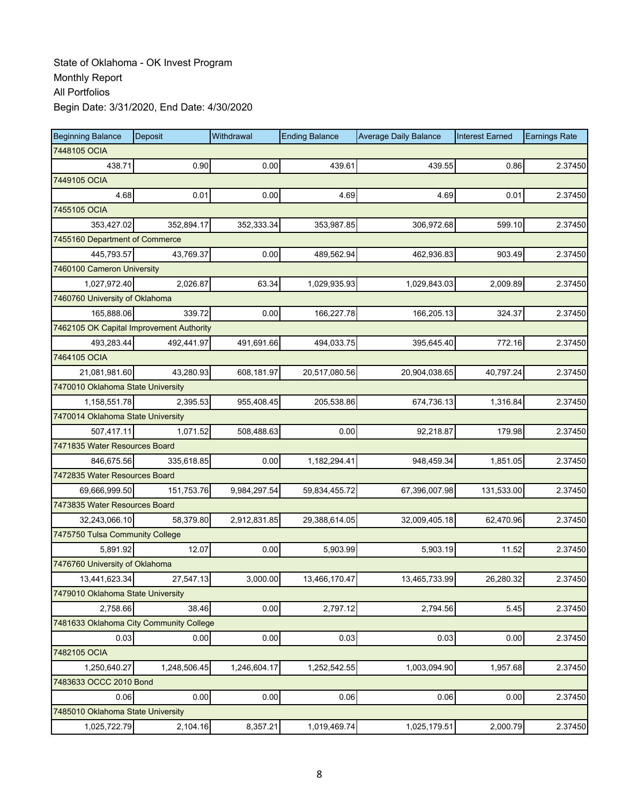| <b>Beginning Balance</b>                 | Deposit      | Withdrawal   | <b>Ending Balance</b> | <b>Average Daily Balance</b> | <b>Interest Earned</b> | <b>Earnings Rate</b> |
|------------------------------------------|--------------|--------------|-----------------------|------------------------------|------------------------|----------------------|
| 7448105 OCIA                             |              |              |                       |                              |                        |                      |
| 438.71                                   | 0.90         | 0.00         | 439.61                | 439.55                       | 0.86                   | 2.37450              |
| 7449105 OCIA                             |              |              |                       |                              |                        |                      |
| 4.68                                     | 0.01         | 0.00         | 4.69                  | 4.69                         | 0.01                   | 2.37450              |
| 7455105 OCIA                             |              |              |                       |                              |                        |                      |
| 353,427.02                               | 352,894.17   | 352,333.34   | 353,987.85            | 306,972.68                   | 599.10                 | 2.37450              |
| 7455160 Department of Commerce           |              |              |                       |                              |                        |                      |
| 445,793.57                               | 43,769.37    | 0.00         | 489,562.94            | 462,936.83                   | 903.49                 | 2.37450              |
| 7460100 Cameron University               |              |              |                       |                              |                        |                      |
| 1,027,972.40                             | 2,026.87     | 63.34        | 1,029,935.93          | 1,029,843.03                 | 2,009.89               | 2.37450              |
| 7460760 University of Oklahoma           |              |              |                       |                              |                        |                      |
| 165,888.06                               | 339.72       | 0.00         | 166,227.78            | 166,205.13                   | 324.37                 | 2.37450              |
| 7462105 OK Capital Improvement Authority |              |              |                       |                              |                        |                      |
| 493,283.44                               | 492,441.97   | 491,691.66   | 494,033.75            | 395,645.40                   | 772.16                 | 2.37450              |
| 7464105 OCIA                             |              |              |                       |                              |                        |                      |
| 21,081,981.60                            | 43,280.93    | 608,181.97   | 20,517,080.56         | 20,904,038.65                | 40,797.24              | 2.37450              |
| 7470010 Oklahoma State University        |              |              |                       |                              |                        |                      |
| 1,158,551.78                             | 2,395.53     | 955,408.45   | 205,538.86            | 674,736.13                   | 1,316.84               | 2.37450              |
| 7470014 Oklahoma State University        |              |              |                       |                              |                        |                      |
| 507,417.11                               | 1,071.52     | 508,488.63   | 0.00                  | 92,218.87                    | 179.98                 | 2.37450              |
| 7471835 Water Resources Board            |              |              |                       |                              |                        |                      |
| 846,675.56                               | 335,618.85   | 0.00         | 1,182,294.41          | 948,459.34                   | 1,851.05               | 2.37450              |
| 7472835 Water Resources Board            |              |              |                       |                              |                        |                      |
| 69,666,999.50                            | 151,753.76   | 9,984,297.54 | 59,834,455.72         | 67,396,007.98                | 131,533.00             | 2.37450              |
| 7473835 Water Resources Board            |              |              |                       |                              |                        |                      |
| 32,243,066.10                            | 58,379.80    | 2,912,831.85 | 29,388,614.05         | 32,009,405.18                | 62,470.96              | 2.37450              |
| 7475750 Tulsa Community College          |              |              |                       |                              |                        |                      |
| 5,891.92                                 | 12.07        | 0.00         | 5,903.99              | 5,903.19                     | 11.52                  | 2.37450              |
| 7476760 University of Oklahoma           |              |              |                       |                              |                        |                      |
| 13,441,623.34                            | 27,547.13    | 3,000.00     | 13,466,170.47         | 13,465,733.99                | 26,280.32              | 2.37450              |
| 7479010 Oklahoma State University        |              |              |                       |                              |                        |                      |
| 2,758.66                                 | 38.46        | 0.00         | 2,797.12              | 2,794.56                     | 5.45                   | 2.37450              |
| 7481633 Oklahoma City Community College  |              |              |                       |                              |                        |                      |
| 0.03                                     | 0.00         | 0.00         | 0.03                  | 0.03                         | 0.00                   | 2.37450              |
| 7482105 OCIA                             |              |              |                       |                              |                        |                      |
| 1,250,640.27                             | 1,248,506.45 | 1,246,604.17 | 1,252,542.55          | 1,003,094.90                 | 1,957.68               | 2.37450              |
| 7483633 OCCC 2010 Bond                   |              |              |                       |                              |                        |                      |
| 0.06                                     | 0.00         | 0.00         | 0.06                  | 0.06                         | 0.00                   | 2.37450              |
| 7485010 Oklahoma State University        |              |              |                       |                              |                        |                      |
| 1,025,722.79                             | 2,104.16     | 8,357.21     | 1,019,469.74          | 1,025,179.51                 | 2,000.79               | 2.37450              |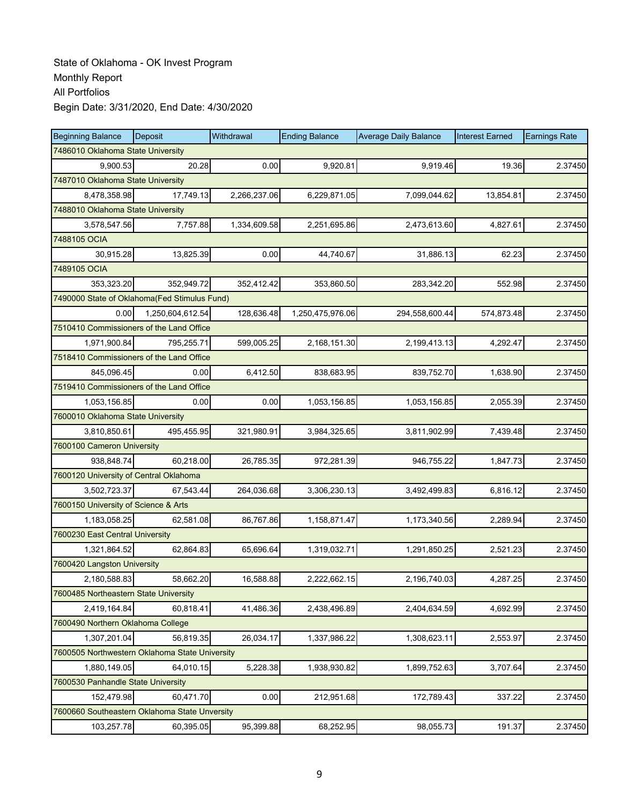| <b>Beginning Balance</b>                       | Deposit          | Withdrawal   | <b>Ending Balance</b> | <b>Average Daily Balance</b> | <b>Interest Earned</b> | <b>Earnings Rate</b> |
|------------------------------------------------|------------------|--------------|-----------------------|------------------------------|------------------------|----------------------|
| 7486010 Oklahoma State University              |                  |              |                       |                              |                        |                      |
| 9.900.53                                       | 20.28            | 0.00         | 9,920.81              | 9,919.46                     | 19.36                  | 2.37450              |
| 7487010 Oklahoma State University              |                  |              |                       |                              |                        |                      |
| 8,478,358.98                                   | 17,749.13        | 2,266,237.06 | 6,229,871.05          | 7,099,044.62                 | 13,854.81              | 2.37450              |
| 7488010 Oklahoma State University              |                  |              |                       |                              |                        |                      |
| 3,578,547.56                                   | 7,757.88         | 1,334,609.58 | 2,251,695.86          | 2,473,613.60                 | 4,827.61               | 2.37450              |
| 7488105 OCIA                                   |                  |              |                       |                              |                        |                      |
| 30,915.28                                      | 13,825.39        | 0.00         | 44,740.67             | 31,886.13                    | 62.23                  | 2.37450              |
| 7489105 OCIA                                   |                  |              |                       |                              |                        |                      |
| 353,323.20                                     | 352,949.72       | 352,412.42   | 353,860.50            | 283,342.20                   | 552.98                 | 2.37450              |
| 7490000 State of Oklahoma(Fed Stimulus Fund)   |                  |              |                       |                              |                        |                      |
| 0.00                                           | 1,250,604,612.54 | 128,636.48   | 1,250,475,976.06      | 294,558,600.44               | 574,873.48             | 2.37450              |
| 7510410 Commissioners of the Land Office       |                  |              |                       |                              |                        |                      |
| 1,971,900.84                                   | 795,255.71       | 599,005.25   | 2,168,151.30          | 2,199,413.13                 | 4,292.47               | 2.37450              |
| 7518410 Commissioners of the Land Office       |                  |              |                       |                              |                        |                      |
| 845,096.45                                     | 0.00             | 6,412.50     | 838,683.95            | 839,752.70                   | 1,638.90               | 2.37450              |
| 7519410 Commissioners of the Land Office       |                  |              |                       |                              |                        |                      |
| 1,053,156.85                                   | 0.00             | 0.00         | 1,053,156.85          | 1,053,156.85                 | 2,055.39               | 2.37450              |
| 7600010 Oklahoma State University              |                  |              |                       |                              |                        |                      |
| 3,810,850.61                                   | 495,455.95       | 321,980.91   | 3,984,325.65          | 3,811,902.99                 | 7,439.48               | 2.37450              |
| 7600100 Cameron University                     |                  |              |                       |                              |                        |                      |
| 938,848.74                                     | 60,218.00        | 26,785.35    | 972,281.39            | 946,755.22                   | 1,847.73               | 2.37450              |
| 7600120 University of Central Oklahoma         |                  |              |                       |                              |                        |                      |
| 3,502,723.37                                   | 67,543.44        | 264,036.68   | 3,306,230.13          | 3,492,499.83                 | 6,816.12               | 2.37450              |
| 7600150 University of Science & Arts           |                  |              |                       |                              |                        |                      |
| 1,183,058.25                                   | 62,581.08        | 86,767.86    | 1,158,871.47          | 1,173,340.56                 | 2,289.94               | 2.37450              |
| 7600230 East Central University                |                  |              |                       |                              |                        |                      |
| 1,321,864.52                                   | 62,864.83        | 65,696.64    | 1,319,032.71          | 1,291,850.25                 | 2,521.23               | 2.37450              |
| 7600420 Langston University                    |                  |              |                       |                              |                        |                      |
| 2,180,588.83                                   | 58,662.20        | 16,588.88    | 2.222.662.15          | 2,196,740.03                 | 4,287.25               | 2.37450              |
| 7600485 Northeastern State University          |                  |              |                       |                              |                        |                      |
| 2,419,164.84                                   | 60,818.41        | 41,486.36    | 2,438,496.89          | 2,404,634.59                 | 4,692.99               | 2.37450              |
| 7600490 Northern Oklahoma College              |                  |              |                       |                              |                        |                      |
| 1,307,201.04                                   | 56,819.35        | 26,034.17    | 1,337,986.22          | 1,308,623.11                 | 2,553.97               | 2.37450              |
| 7600505 Northwestern Oklahoma State University |                  |              |                       |                              |                        |                      |
| 1,880,149.05                                   | 64,010.15        | 5,228.38     | 1,938,930.82          | 1,899,752.63                 | 3,707.64               | 2.37450              |
| 7600530 Panhandle State University             |                  |              |                       |                              |                        |                      |
| 152,479.98                                     | 60,471.70        | 0.00         | 212,951.68            | 172,789.43                   | 337.22                 | 2.37450              |
| 7600660 Southeastern Oklahoma State Unversity  |                  |              |                       |                              |                        |                      |
| 103,257.78                                     | 60,395.05        | 95,399.88    | 68,252.95             | 98,055.73                    | 191.37                 | 2.37450              |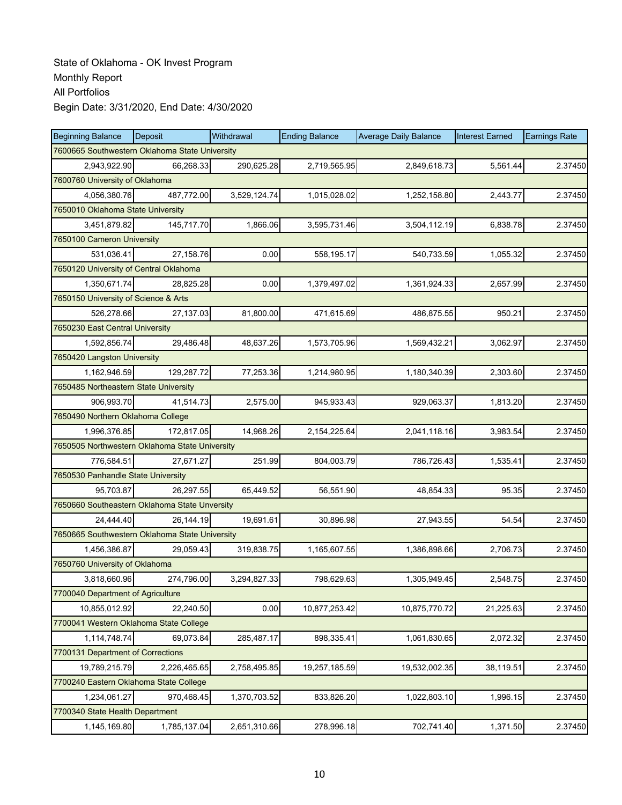| <b>Beginning Balance</b>                       | Deposit      | Withdrawal   | <b>Ending Balance</b> | <b>Average Daily Balance</b> | <b>Interest Earned</b> | <b>Earnings Rate</b> |  |  |
|------------------------------------------------|--------------|--------------|-----------------------|------------------------------|------------------------|----------------------|--|--|
| 7600665 Southwestern Oklahoma State University |              |              |                       |                              |                        |                      |  |  |
| 2,943,922.90                                   | 66,268.33    | 290,625.28   | 2,719,565.95          | 2,849,618.73                 | 5,561.44               | 2.37450              |  |  |
| 7600760 University of Oklahoma                 |              |              |                       |                              |                        |                      |  |  |
| 4,056,380.76                                   | 487,772.00   | 3,529,124.74 | 1,015,028.02          | 1,252,158.80                 | 2.443.77               | 2.37450              |  |  |
| 7650010 Oklahoma State University              |              |              |                       |                              |                        |                      |  |  |
| 3,451,879.82                                   | 145,717.70   | 1,866.06     | 3,595,731.46          | 3,504,112.19                 | 6,838.78               | 2.37450              |  |  |
| 7650100 Cameron University                     |              |              |                       |                              |                        |                      |  |  |
| 531,036.41                                     | 27,158.76    | 0.00         | 558,195.17            | 540,733.59                   | 1,055.32               | 2.37450              |  |  |
| 7650120 University of Central Oklahoma         |              |              |                       |                              |                        |                      |  |  |
| 1,350,671.74                                   | 28,825.28    | 0.00         | 1,379,497.02          | 1,361,924.33                 | 2,657.99               | 2.37450              |  |  |
| 7650150 University of Science & Arts           |              |              |                       |                              |                        |                      |  |  |
| 526,278.66                                     | 27,137.03    | 81,800.00    | 471,615.69            | 486,875.55                   | 950.21                 | 2.37450              |  |  |
| 7650230 East Central University                |              |              |                       |                              |                        |                      |  |  |
| 1.592.856.74                                   | 29,486.48    | 48,637.26    | 1,573,705.96          | 1,569,432.21                 | 3,062.97               | 2.37450              |  |  |
| 7650420 Langston University                    |              |              |                       |                              |                        |                      |  |  |
| 1,162,946.59                                   | 129,287.72   | 77,253.36    | 1,214,980.95          | 1,180,340.39                 | 2,303.60               | 2.37450              |  |  |
| 7650485 Northeastern State University          |              |              |                       |                              |                        |                      |  |  |
| 906,993.70                                     | 41,514.73    | 2,575.00     | 945.933.43            | 929,063.37                   | 1,813.20               | 2.37450              |  |  |
| 7650490 Northern Oklahoma College              |              |              |                       |                              |                        |                      |  |  |
| 1,996,376.85                                   | 172,817.05   | 14,968.26    | 2,154,225.64          | 2,041,118.16                 | 3,983.54               | 2.37450              |  |  |
| 7650505 Northwestern Oklahoma State University |              |              |                       |                              |                        |                      |  |  |
| 776,584.51                                     | 27,671.27    | 251.99       | 804,003.79            | 786,726.43                   | 1,535.41               | 2.37450              |  |  |
| 7650530 Panhandle State University             |              |              |                       |                              |                        |                      |  |  |
| 95,703.87                                      | 26,297.55    | 65,449.52    | 56,551.90             | 48,854.33                    | 95.35                  | 2.37450              |  |  |
| 7650660 Southeastern Oklahoma State Unversity  |              |              |                       |                              |                        |                      |  |  |
| 24,444.40                                      | 26,144.19    | 19,691.61    | 30,896.98             | 27,943.55                    | 54.54                  | 2.37450              |  |  |
| 7650665 Southwestern Oklahoma State University |              |              |                       |                              |                        |                      |  |  |
| 1,456,386.87                                   | 29,059.43    | 319,838.75   | 1,165,607.55          | 1,386,898.66                 | 2,706.73               | 2.37450              |  |  |
| 7650760 University of Oklahoma                 |              |              |                       |                              |                        |                      |  |  |
| 3,818,660.96                                   | 274,796.00   | 3,294,827.33 | 798,629.63            | 1,305,949.45                 | 2,548.75               | 2.37450              |  |  |
| 7700040 Department of Agriculture              |              |              |                       |                              |                        |                      |  |  |
| 10,855,012.92                                  | 22,240.50    | 0.00         | 10,877,253.42         | 10,875,770.72                | 21,225.63              | 2.37450              |  |  |
| 7700041 Western Oklahoma State College         |              |              |                       |                              |                        |                      |  |  |
| 1,114,748.74                                   | 69,073.84    | 285,487.17   | 898,335.41            | 1,061,830.65                 | 2,072.32               | 2.37450              |  |  |
| 7700131 Department of Corrections              |              |              |                       |                              |                        |                      |  |  |
| 19,789,215.79                                  | 2,226,465.65 | 2,758,495.85 | 19,257,185.59         | 19,532,002.35                | 38,119.51              | 2.37450              |  |  |
| 7700240 Eastern Oklahoma State College         |              |              |                       |                              |                        |                      |  |  |
| 1,234,061.27                                   | 970,468.45   | 1,370,703.52 | 833,826.20            | 1,022,803.10                 | 1,996.15               | 2.37450              |  |  |
| 7700340 State Health Department                |              |              |                       |                              |                        |                      |  |  |
| 1,145,169.80                                   | 1,785,137.04 | 2,651,310.66 | 278,996.18            | 702,741.40                   | 1,371.50               | 2.37450              |  |  |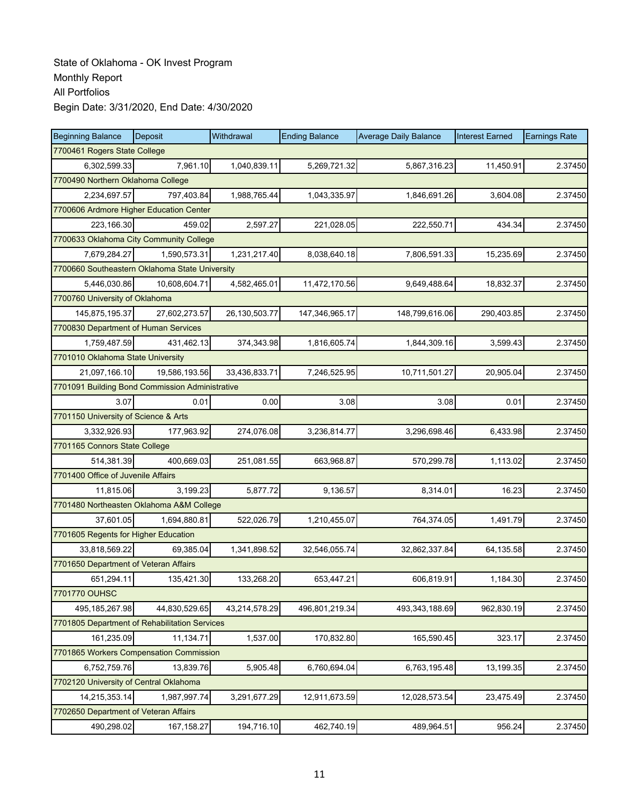| <b>Beginning Balance</b>                      | <b>Deposit</b>                                  | Withdrawal       | <b>Ending Balance</b> | <b>Average Daily Balance</b> | <b>Interest Earned</b> | <b>Earnings Rate</b> |  |  |  |
|-----------------------------------------------|-------------------------------------------------|------------------|-----------------------|------------------------------|------------------------|----------------------|--|--|--|
|                                               | 7700461 Rogers State College                    |                  |                       |                              |                        |                      |  |  |  |
| 6,302,599.33                                  | 7,961.10                                        | 1,040,839.11     | 5,269,721.32          | 5,867,316.23                 | 11,450.91              | 2.37450              |  |  |  |
| 7700490 Northern Oklahoma College             |                                                 |                  |                       |                              |                        |                      |  |  |  |
| 2,234,697.57                                  | 797,403.84                                      | 1,988,765.44     | 1,043,335.97          | 1,846,691.26                 | 3,604.08               | 2.37450              |  |  |  |
|                                               | 7700606 Ardmore Higher Education Center         |                  |                       |                              |                        |                      |  |  |  |
| 223,166.30                                    | 459.02                                          | 2,597.27         | 221,028.05            | 222,550.71                   | 434.34                 | 2.37450              |  |  |  |
|                                               | 7700633 Oklahoma City Community College         |                  |                       |                              |                        |                      |  |  |  |
| 7,679,284.27                                  | 1,590,573.31                                    | 1,231,217.40     | 8,038,640.18          | 7,806,591.33                 | 15,235.69              | 2.37450              |  |  |  |
|                                               | 7700660 Southeastern Oklahoma State University  |                  |                       |                              |                        |                      |  |  |  |
| 5,446,030.86                                  | 10,608,604.71                                   | 4,582,465.01     | 11,472,170.56         | 9,649,488.64                 | 18,832.37              | 2.37450              |  |  |  |
| 7700760 University of Oklahoma                |                                                 |                  |                       |                              |                        |                      |  |  |  |
| 145,875,195.37                                | 27,602,273.57                                   | 26, 130, 503. 77 | 147,346,965.17        | 148,799,616.06               | 290,403.85             | 2.37450              |  |  |  |
| 7700830 Department of Human Services          |                                                 |                  |                       |                              |                        |                      |  |  |  |
| 1,759,487.59                                  | 431.462.13                                      | 374,343.98       | 1,816,605.74          | 1,844,309.16                 | 3,599.43               | 2.37450              |  |  |  |
| 7701010 Oklahoma State University             |                                                 |                  |                       |                              |                        |                      |  |  |  |
| 21,097,166.10                                 | 19,586,193.56                                   | 33,436,833.71    | 7,246,525.95          | 10,711,501.27                | 20,905.04              | 2.37450              |  |  |  |
|                                               | 7701091 Building Bond Commission Administrative |                  |                       |                              |                        |                      |  |  |  |
| 3.07                                          | 0.01                                            | 0.00             | 3.08                  | 3.08                         | 0.01                   | 2.37450              |  |  |  |
| 7701150 University of Science & Arts          |                                                 |                  |                       |                              |                        |                      |  |  |  |
| 3,332,926.93                                  | 177,963.92                                      | 274,076.08       | 3,236,814.77          | 3,296,698.46                 | 6,433.98               | 2.37450              |  |  |  |
| 7701165 Connors State College                 |                                                 |                  |                       |                              |                        |                      |  |  |  |
| 514,381.39                                    | 400,669.03                                      | 251,081.55       | 663,968.87            | 570,299.78                   | 1,113.02               | 2.37450              |  |  |  |
| 7701400 Office of Juvenile Affairs            |                                                 |                  |                       |                              |                        |                      |  |  |  |
| 11,815.06                                     | 3,199.23                                        | 5,877.72         | 9,136.57              | 8,314.01                     | 16.23                  | 2.37450              |  |  |  |
| 7701480 Northeasten Oklahoma A&M College      |                                                 |                  |                       |                              |                        |                      |  |  |  |
| 37,601.05                                     | 1,694,880.81                                    | 522,026.79       | 1,210,455.07          | 764,374.05                   | 1,491.79               | 2.37450              |  |  |  |
| 7701605 Regents for Higher Education          |                                                 |                  |                       |                              |                        |                      |  |  |  |
| 33,818,569.22                                 | 69,385.04                                       | 1,341,898.52     | 32,546,055.74         | 32,862,337.84                | 64,135.58              | 2.37450              |  |  |  |
| 7701650 Department of Veteran Affairs         |                                                 |                  |                       |                              |                        |                      |  |  |  |
| 651,294.11                                    | 135,421.30                                      | 133,268.20       | 653,447.21            | 606,819.91                   | 1,184.30               | 2.37450              |  |  |  |
| 7701770 OUHSC                                 |                                                 |                  |                       |                              |                        |                      |  |  |  |
| 495,185,267.98                                | 44,830,529.65                                   | 43,214,578.29    | 496,801,219.34        | 493,343,188.69               | 962,830.19             | 2.37450              |  |  |  |
| 7701805 Department of Rehabilitation Services |                                                 |                  |                       |                              |                        |                      |  |  |  |
| 161,235.09                                    | 11,134.71                                       | 1,537.00         | 170,832.80            | 165,590.45                   | 323.17                 | 2.37450              |  |  |  |
| 7701865 Workers Compensation Commission       |                                                 |                  |                       |                              |                        |                      |  |  |  |
| 6,752,759.76                                  | 13,839.76                                       | 5,905.48         | 6,760,694.04          | 6,763,195.48                 | 13,199.35              | 2.37450              |  |  |  |
| 7702120 University of Central Oklahoma        |                                                 |                  |                       |                              |                        |                      |  |  |  |
| 14,215,353.14                                 | 1,987,997.74                                    | 3,291,677.29     | 12,911,673.59         | 12,028,573.54                | 23,475.49              | 2.37450              |  |  |  |
| 7702650 Department of Veteran Affairs         |                                                 |                  |                       |                              |                        |                      |  |  |  |
| 490,298.02                                    | 167, 158.27                                     | 194,716.10       | 462,740.19            | 489,964.51                   | 956.24                 | 2.37450              |  |  |  |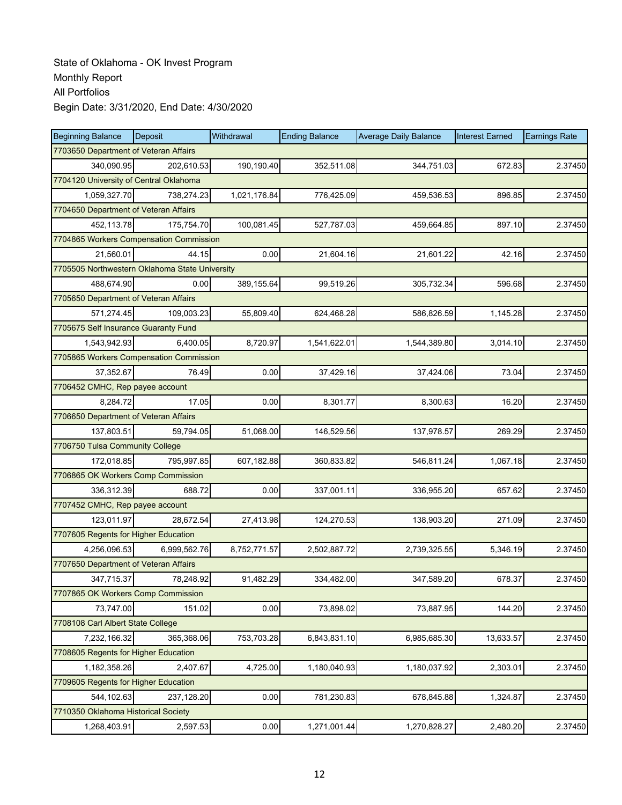| <b>Beginning Balance</b>                       | Deposit      | Withdrawal   | <b>Ending Balance</b> | <b>Average Daily Balance</b> | <b>Interest Earned</b> | <b>Earnings Rate</b> |
|------------------------------------------------|--------------|--------------|-----------------------|------------------------------|------------------------|----------------------|
| 7703650 Department of Veteran Affairs          |              |              |                       |                              |                        |                      |
| 340,090.95                                     | 202,610.53   | 190,190.40   | 352,511.08            | 344,751.03                   | 672.83                 | 2.37450              |
| 7704120 University of Central Oklahoma         |              |              |                       |                              |                        |                      |
| 1,059,327.70                                   | 738,274.23   | 1,021,176.84 | 776,425.09            | 459,536.53                   | 896.85                 | 2.37450              |
| 7704650 Department of Veteran Affairs          |              |              |                       |                              |                        |                      |
| 452,113.78                                     | 175,754.70   | 100,081.45   | 527,787.03            | 459,664.85                   | 897.10                 | 2.37450              |
| 7704865 Workers Compensation Commission        |              |              |                       |                              |                        |                      |
| 21,560.01                                      | 44.15        | 0.00         | 21,604.16             | 21,601.22                    | 42.16                  | 2.37450              |
| 7705505 Northwestern Oklahoma State University |              |              |                       |                              |                        |                      |
| 488,674.90                                     | 0.00         | 389,155.64   | 99,519.26             | 305,732.34                   | 596.68                 | 2.37450              |
| 7705650 Department of Veteran Affairs          |              |              |                       |                              |                        |                      |
| 571,274.45                                     | 109,003.23   | 55,809.40    | 624,468.28            | 586,826.59                   | 1,145.28               | 2.37450              |
| 7705675 Self Insurance Guaranty Fund           |              |              |                       |                              |                        |                      |
| 1,543,942.93                                   | 6,400.05     | 8,720.97     | 1,541,622.01          | 1,544,389.80                 | 3,014.10               | 2.37450              |
| 7705865 Workers Compensation Commission        |              |              |                       |                              |                        |                      |
| 37,352.67                                      | 76.49        | 0.00         | 37,429.16             | 37,424.06                    | 73.04                  | 2.37450              |
| 7706452 CMHC, Rep payee account                |              |              |                       |                              |                        |                      |
| 8,284.72                                       | 17.05        | 0.00         | 8,301.77              | 8,300.63                     | 16.20                  | 2.37450              |
| 7706650 Department of Veteran Affairs          |              |              |                       |                              |                        |                      |
| 137,803.51                                     | 59,794.05    | 51,068.00    | 146,529.56            | 137,978.57                   | 269.29                 | 2.37450              |
| 7706750 Tulsa Community College                |              |              |                       |                              |                        |                      |
| 172,018.85                                     | 795,997.85   | 607,182.88   | 360,833.82            | 546,811.24                   | 1,067.18               | 2.37450              |
| 7706865 OK Workers Comp Commission             |              |              |                       |                              |                        |                      |
| 336,312.39                                     | 688.72       | 0.00         | 337,001.11            | 336,955.20                   | 657.62                 | 2.37450              |
| 7707452 CMHC, Rep payee account                |              |              |                       |                              |                        |                      |
| 123,011.97                                     | 28,672.54    | 27,413.98    | 124,270.53            | 138,903.20                   | 271.09                 | 2.37450              |
| 7707605 Regents for Higher Education           |              |              |                       |                              |                        |                      |
| 4,256,096.53                                   | 6,999,562.76 | 8,752,771.57 | 2,502,887.72          | 2,739,325.55                 | 5,346.19               | 2.37450              |
| 7707650 Department of Veteran Affairs          |              |              |                       |                              |                        |                      |
| 347,715.37                                     | 78,248.92    | 91,482.29    | 334,482.00            | 347,589.20                   | 678.37                 | 2.37450              |
| 7707865 OK Workers Comp Commission             |              |              |                       |                              |                        |                      |
| 73,747.00                                      | 151.02       | 0.00         | 73,898.02             | 73,887.95                    | 144.20                 | 2.37450              |
| 7708108 Carl Albert State College              |              |              |                       |                              |                        |                      |
| 7,232,166.32                                   | 365,368.06   | 753,703.28   | 6,843,831.10          | 6,985,685.30                 | 13,633.57              | 2.37450              |
| 7708605 Regents for Higher Education           |              |              |                       |                              |                        |                      |
| 1,182,358.26                                   | 2,407.67     | 4,725.00     | 1,180,040.93          | 1,180,037.92                 | 2,303.01               | 2.37450              |
| 7709605 Regents for Higher Education           |              |              |                       |                              |                        |                      |
| 544,102.63                                     | 237,128.20   | 0.00         | 781,230.83            | 678,845.88                   | 1,324.87               | 2.37450              |
| 7710350 Oklahoma Historical Society            |              |              |                       |                              |                        |                      |
| 1,268,403.91                                   | 2,597.53     | 0.00         | 1,271,001.44          | 1,270,828.27                 | 2,480.20               | 2.37450              |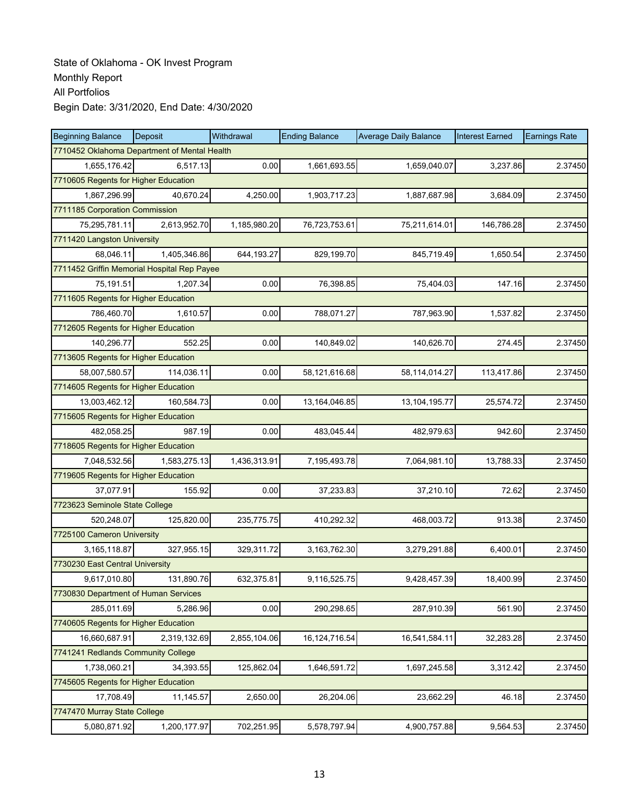| <b>Beginning Balance</b>                     | <b>Deposit</b> | Withdrawal   | <b>Ending Balance</b> | <b>Average Daily Balance</b> | <b>Interest Earned</b> | <b>Earnings Rate</b> |  |  |
|----------------------------------------------|----------------|--------------|-----------------------|------------------------------|------------------------|----------------------|--|--|
| 7710452 Oklahoma Department of Mental Health |                |              |                       |                              |                        |                      |  |  |
| 1,655,176.42                                 | 6.517.13       | 0.00         | 1,661,693.55          | 1,659,040.07                 | 3,237.86               | 2.37450              |  |  |
| 7710605 Regents for Higher Education         |                |              |                       |                              |                        |                      |  |  |
| 1,867,296.99                                 | 40,670.24      | 4,250.00     | 1,903,717.23          | 1,887,687.98                 | 3,684.09               | 2.37450              |  |  |
| 7711185 Corporation Commission               |                |              |                       |                              |                        |                      |  |  |
| 75,295,781.11                                | 2,613,952.70   | 1,185,980.20 | 76,723,753.61         | 75,211,614.01                | 146,786.28             | 2.37450              |  |  |
| 7711420 Langston University                  |                |              |                       |                              |                        |                      |  |  |
| 68.046.11                                    | 1,405,346.86   | 644,193.27   | 829,199.70            | 845,719.49                   | 1,650.54               | 2.37450              |  |  |
| 7711452 Griffin Memorial Hospital Rep Payee  |                |              |                       |                              |                        |                      |  |  |
| 75,191.51                                    | 1,207.34       | 0.00         | 76,398.85             | 75,404.03                    | 147.16                 | 2.37450              |  |  |
| 7711605 Regents for Higher Education         |                |              |                       |                              |                        |                      |  |  |
| 786,460.70                                   | 1,610.57       | 0.00         | 788,071.27            | 787,963.90                   | 1,537.82               | 2.37450              |  |  |
| 7712605 Regents for Higher Education         |                |              |                       |                              |                        |                      |  |  |
| 140,296.77                                   | 552.25         | 0.00         | 140,849.02            | 140,626.70                   | 274.45                 | 2.37450              |  |  |
| 7713605 Regents for Higher Education         |                |              |                       |                              |                        |                      |  |  |
| 58,007,580.57                                | 114,036.11     | 0.00         | 58,121,616.68         | 58,114,014.27                | 113,417.86             | 2.37450              |  |  |
| 7714605 Regents for Higher Education         |                |              |                       |                              |                        |                      |  |  |
| 13,003,462.12                                | 160,584.73     | 0.00         | 13,164,046.85         | 13, 104, 195. 77             | 25,574.72              | 2.37450              |  |  |
| 7715605 Regents for Higher Education         |                |              |                       |                              |                        |                      |  |  |
| 482,058.25                                   | 987.19         | 0.00         | 483,045.44            | 482,979.63                   | 942.60                 | 2.37450              |  |  |
| 7718605 Regents for Higher Education         |                |              |                       |                              |                        |                      |  |  |
| 7,048,532.56                                 | 1,583,275.13   | 1,436,313.91 | 7,195,493.78          | 7,064,981.10                 | 13,788.33              | 2.37450              |  |  |
| 7719605 Regents for Higher Education         |                |              |                       |                              |                        |                      |  |  |
| 37,077.91                                    | 155.92         | 0.00         | 37,233.83             | 37,210.10                    | 72.62                  | 2.37450              |  |  |
| 7723623 Seminole State College               |                |              |                       |                              |                        |                      |  |  |
| 520,248.07                                   | 125,820.00     | 235,775.75   | 410,292.32            | 468,003.72                   | 913.38                 | 2.37450              |  |  |
| 7725100 Cameron University                   |                |              |                       |                              |                        |                      |  |  |
| 3,165,118.87                                 | 327,955.15     | 329,311.72   | 3,163,762.30          | 3,279,291.88                 | 6,400.01               | 2.37450              |  |  |
| 7730230 East Central University              |                |              |                       |                              |                        |                      |  |  |
| 9,617,010.80                                 | 131,890.76     | 632,375.81   | 9,116,525.75          | 9,428,457.39                 | 18,400.99              | 2.37450              |  |  |
| 7730830 Department of Human Services         |                |              |                       |                              |                        |                      |  |  |
| 285,011.69                                   | 5,286.96       | 0.00         | 290,298.65            | 287,910.39                   | 561.90                 | 2.37450              |  |  |
| 7740605 Regents for Higher Education         |                |              |                       |                              |                        |                      |  |  |
| 16,660,687.91                                | 2,319,132.69   | 2,855,104.06 | 16, 124, 716.54       | 16,541,584.11                | 32,283.28              | 2.37450              |  |  |
| 7741241 Redlands Community College           |                |              |                       |                              |                        |                      |  |  |
| 1,738,060.21                                 | 34,393.55      | 125,862.04   | 1,646,591.72          | 1,697,245.58                 | 3,312.42               | 2.37450              |  |  |
| 7745605 Regents for Higher Education         |                |              |                       |                              |                        |                      |  |  |
| 17,708.49                                    | 11,145.57      | 2,650.00     | 26,204.06             | 23,662.29                    | 46.18                  | 2.37450              |  |  |
| 7747470 Murray State College                 |                |              |                       |                              |                        |                      |  |  |
| 5,080,871.92                                 | 1,200,177.97   | 702,251.95   | 5,578,797.94          | 4,900,757.88                 | 9,564.53               | 2.37450              |  |  |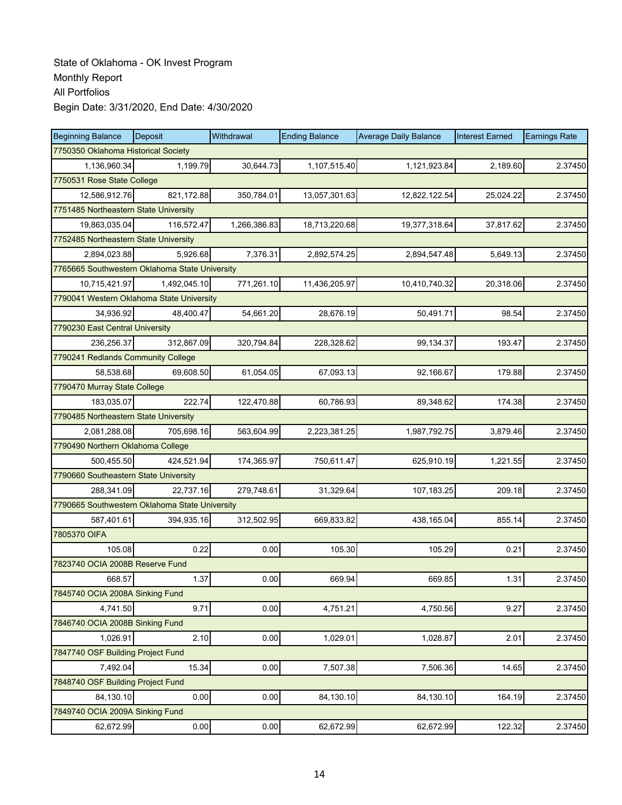| <b>Beginning Balance</b>                       | Deposit                                        | Withdrawal   | <b>Ending Balance</b> | <b>Average Daily Balance</b> | <b>Interest Earned</b> | <b>Earnings Rate</b> |  |  |
|------------------------------------------------|------------------------------------------------|--------------|-----------------------|------------------------------|------------------------|----------------------|--|--|
| 7750350 Oklahoma Historical Society            |                                                |              |                       |                              |                        |                      |  |  |
| 1,136,960.34                                   | 1,199.79                                       | 30,644.73    | 1,107,515.40          | 1,121,923.84                 | 2,189.60               | 2.37450              |  |  |
| 7750531 Rose State College                     |                                                |              |                       |                              |                        |                      |  |  |
| 12,586,912.76                                  | 821,172.88                                     | 350,784.01   | 13,057,301.63         | 12,822,122.54                | 25,024.22              | 2.37450              |  |  |
| 7751485 Northeastern State University          |                                                |              |                       |                              |                        |                      |  |  |
| 19,863,035.04                                  | 116,572.47                                     | 1,266,386.83 | 18,713,220.68         | 19,377,318.64                | 37,817.62              | 2.37450              |  |  |
| 7752485 Northeastern State University          |                                                |              |                       |                              |                        |                      |  |  |
| 2,894,023.88                                   | 5,926.68                                       | 7,376.31     | 2,892,574.25          | 2,894,547.48                 | 5,649.13               | 2.37450              |  |  |
| 7765665 Southwestern Oklahoma State University |                                                |              |                       |                              |                        |                      |  |  |
| 10,715,421.97                                  | 1,492,045.10                                   | 771,261.10   | 11,436,205.97         | 10,410,740.32                | 20,318.06              | 2.37450              |  |  |
| 7790041 Western Oklahoma State University      |                                                |              |                       |                              |                        |                      |  |  |
| 34,936.92                                      | 48,400.47                                      | 54,661.20    | 28,676.19             | 50,491.71                    | 98.54                  | 2.37450              |  |  |
| 7790230 East Central University                |                                                |              |                       |                              |                        |                      |  |  |
| 236,256.37                                     | 312,867.09                                     | 320,794.84   | 228,328.62            | 99,134.37                    | 193.47                 | 2.37450              |  |  |
| 7790241 Redlands Community College             |                                                |              |                       |                              |                        |                      |  |  |
| 58,538.68                                      | 69.608.50                                      | 61,054.05    | 67,093.13             | 92,166.67                    | 179.88                 | 2.37450              |  |  |
| 7790470 Murray State College                   |                                                |              |                       |                              |                        |                      |  |  |
| 183,035.07                                     | 222.74                                         | 122,470.88   | 60,786.93             | 89,348.62                    | 174.38                 | 2.37450              |  |  |
| 7790485 Northeastern State University          |                                                |              |                       |                              |                        |                      |  |  |
| 2,081,288.08                                   | 705,698.16                                     | 563,604.99   | 2,223,381.25          | 1,987,792.75                 | 3,879.46               | 2.37450              |  |  |
| 7790490 Northern Oklahoma College              |                                                |              |                       |                              |                        |                      |  |  |
| 500,455.50                                     | 424,521.94                                     | 174,365.97   | 750,611.47            | 625,910.19                   | 1,221.55               | 2.37450              |  |  |
| 7790660 Southeastern State University          |                                                |              |                       |                              |                        |                      |  |  |
| 288,341.09                                     | 22,737.16                                      | 279,748.61   | 31,329.64             | 107,183.25                   | 209.18                 | 2.37450              |  |  |
|                                                | 7790665 Southwestern Oklahoma State University |              |                       |                              |                        |                      |  |  |
| 587,401.61                                     | 394,935.16                                     | 312,502.95   | 669,833.82            | 438,165.04                   | 855.14                 | 2.37450              |  |  |
| 7805370 OIFA                                   |                                                |              |                       |                              |                        |                      |  |  |
| 105.08                                         | 0.22                                           | 0.00         | 105.30                | 105.29                       | 0.21                   | 2.37450              |  |  |
| 7823740 OCIA 2008B Reserve Fund                |                                                |              |                       |                              |                        |                      |  |  |
| 668.57                                         | 1.37                                           | 0.00         | 669.94                | 669.85                       | 1.31                   | 2.37450              |  |  |
| 7845740 OCIA 2008A Sinking Fund                |                                                |              |                       |                              |                        |                      |  |  |
| 4,741.50                                       | 9.71                                           | 0.00         | 4,751.21              | 4,750.56                     | 9.27                   | 2.37450              |  |  |
| 7846740 OCIA 2008B Sinking Fund                |                                                |              |                       |                              |                        |                      |  |  |
| 1,026.91                                       | 2.10                                           | 0.00         | 1,029.01              | 1,028.87                     | 2.01                   | 2.37450              |  |  |
| 7847740 OSF Building Project Fund              |                                                |              |                       |                              |                        |                      |  |  |
| 7,492.04                                       | 15.34                                          | 0.00         | 7,507.38              | 7,506.36                     | 14.65                  | 2.37450              |  |  |
| 7848740 OSF Building Project Fund              |                                                |              |                       |                              |                        |                      |  |  |
| 84,130.10                                      | 0.00                                           | 0.00         | 84,130.10             | 84,130.10                    | 164.19                 | 2.37450              |  |  |
| 7849740 OCIA 2009A Sinking Fund                |                                                |              |                       |                              |                        |                      |  |  |
| 62,672.99                                      | 0.00                                           | 0.00         | 62,672.99             | 62,672.99                    | 122.32                 | 2.37450              |  |  |